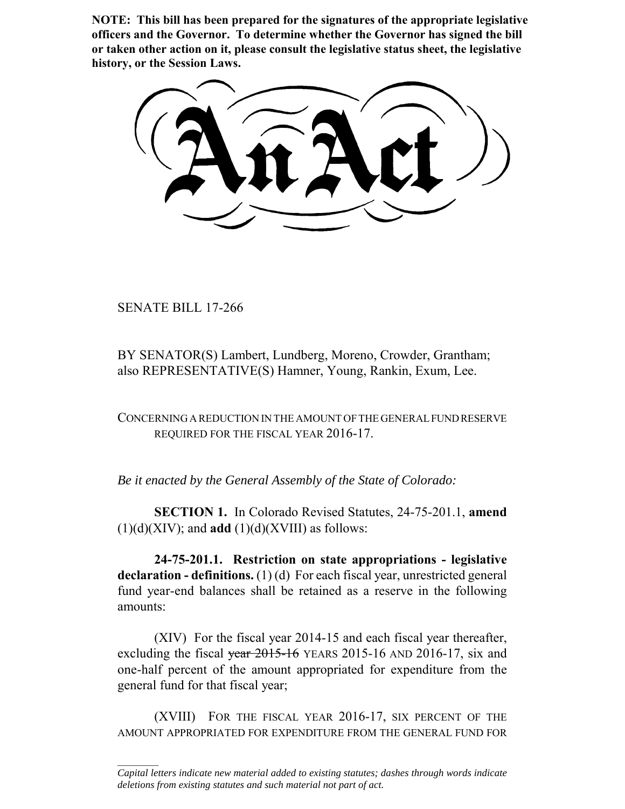**NOTE: This bill has been prepared for the signatures of the appropriate legislative officers and the Governor. To determine whether the Governor has signed the bill or taken other action on it, please consult the legislative status sheet, the legislative history, or the Session Laws.**

SENATE BILL 17-266

 $\frac{1}{2}$ 

BY SENATOR(S) Lambert, Lundberg, Moreno, Crowder, Grantham; also REPRESENTATIVE(S) Hamner, Young, Rankin, Exum, Lee.

CONCERNING A REDUCTION IN THE AMOUNT OF THE GENERAL FUND RESERVE REQUIRED FOR THE FISCAL YEAR 2016-17.

*Be it enacted by the General Assembly of the State of Colorado:*

**SECTION 1.** In Colorado Revised Statutes, 24-75-201.1, **amend**  $(1)(d)(XIV)$ ; and **add**  $(1)(d)(XVIII)$  as follows:

**24-75-201.1. Restriction on state appropriations - legislative declaration - definitions.** (1) (d) For each fiscal year, unrestricted general fund year-end balances shall be retained as a reserve in the following amounts:

(XIV) For the fiscal year 2014-15 and each fiscal year thereafter, excluding the fiscal vear  $2015-16$  YEARS 2015-16 AND 2016-17, six and one-half percent of the amount appropriated for expenditure from the general fund for that fiscal year;

(XVIII) FOR THE FISCAL YEAR 2016-17, SIX PERCENT OF THE AMOUNT APPROPRIATED FOR EXPENDITURE FROM THE GENERAL FUND FOR

*Capital letters indicate new material added to existing statutes; dashes through words indicate deletions from existing statutes and such material not part of act.*